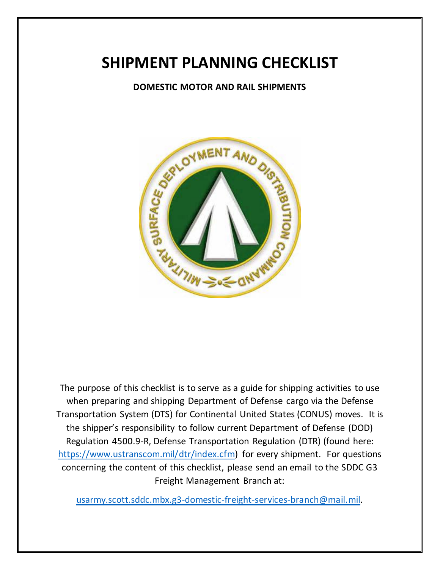## **SHIPMENT PLANNING CHECKLIST**

**DOMESTIC MOTOR AND RAIL SHIPMENTS**



The purpose of this checklist is to serve as a guide for shipping activities to use when preparing and shipping Department of Defense cargo via the Defense Transportation System (DTS) for Continental United States (CONUS) moves. It is the shipper's responsibility to follow current Department of Defense (DOD) Regulation 4500.9-R, Defense Transportation Regulation (DTR) (found here: [https://www.ustranscom.mil/dtr/index.cfm\)](https://www.ustranscom.mil/dtr/index.cfm) for every shipment. For questions concerning the content of this checklist, please send an email to the SDDC G3 Freight Management Branch at:

[usarmy.scott.sddc.mbx.g3-domestic-freight-services-branch@mail.mil.](mailto:usarmy.scott.sddc.mbx.g3-domestic-freight-services-branch@mail.mil)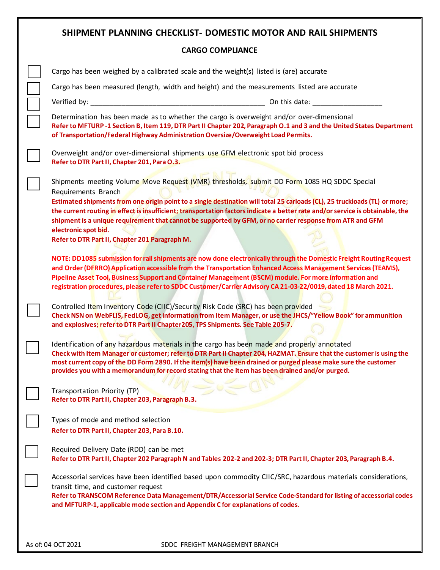| SHIPMENT PLANNING CHECKLIST- DOMESTIC MOTOR AND RAIL SHIPMENTS                                                                                                                                                                                                                                                                                                                                                                                                   |
|------------------------------------------------------------------------------------------------------------------------------------------------------------------------------------------------------------------------------------------------------------------------------------------------------------------------------------------------------------------------------------------------------------------------------------------------------------------|
| <b>CARGO COMPLIANCE</b>                                                                                                                                                                                                                                                                                                                                                                                                                                          |
| Cargo has been weighed by a calibrated scale and the weight(s) listed is (are) accurate                                                                                                                                                                                                                                                                                                                                                                          |
| Cargo has been measured (length, width and height) and the measurements listed are accurate                                                                                                                                                                                                                                                                                                                                                                      |
| Verified by: ____                                                                                                                                                                                                                                                                                                                                                                                                                                                |
| Determination has been made as to whether the cargo is overweight and/or over-dimensional<br>Refer to MFTURP -1 Section B, Item 119, DTR Part II Chapter 202, Paragraph O.1 and 3 and the United States Department<br>of Transportation/Federal Highway Administration Oversize/Overweight Load Permits.                                                                                                                                                         |
| Overweight and/or over-dimensional shipments use GFM electronic spot bid process<br>Refer to DTR Part II, Chapter 201, Para O.3.                                                                                                                                                                                                                                                                                                                                 |
| Shipments meeting Volume Move Request (VMR) thresholds, submit DD Form 1085 HQ SDDC Special<br>Requirements Branch                                                                                                                                                                                                                                                                                                                                               |
| Estimated shipments from one origin point to a single destination will total 25 carloads (CL), 25 truckloads (TL) or more;<br>the current routing in effect is insufficient; transportation factors indicate a better rate and/or service is obtainable, the<br>shipment is a unique requirement that cannot be supported by GFM, or no carrier response from ATR and GFM<br>electronic spot bid.<br>Refer to DTR Part II, Chapter 201 Paragraph M.              |
| NOTE: DD1085 submission for rail shipments are now done electronically through the Domestic Freight Routing Request<br>and Order (DFRRO) Application accessible from the Transportation Enhanced Access Management Services (TEAMS),<br>Pipeline Asset Tool, Business Support and Container Management (BSCM) module. For more information and<br>registration procedures, please refer to SDDC Customer/Carrier Advisory CA 21-03-22/0019, dated 18 March 2021. |
| Controlled Item Inventory Code (CIIC)/Security Risk Code (SRC) has been provided<br>Check NSN on WebFLIS, FedLOG, get information from Item Manager, or use the JHCS/"Yellow Book" for ammunition<br>and explosives; refer to DTR Part II Chapter 205, TPS Shipments. See Table 205-7.                                                                                                                                                                           |
| Identification of any hazardous materials in the cargo has been made and properly annotated<br>Check with Item Manager or customer; refer to DTR Part II Chapter 204, HAZMAT. Ensure that the customer is using the<br>most current copy of the DD Form 2890. If the item(s) have been drained or purged please make sure the customer<br>provides you with a memorandum for record stating that the item has been drained and/or purged.                        |
| Transportation Priority (TP)<br>Refer to DTR Part II, Chapter 203, Paragraph B.3.                                                                                                                                                                                                                                                                                                                                                                                |
| Types of mode and method selection<br>Refer to DTR Part II, Chapter 203, Para B.10.                                                                                                                                                                                                                                                                                                                                                                              |
| Required Delivery Date (RDD) can be met<br>Refer to DTR Part II, Chapter 202 Paragraph N and Tables 202-2 and 202-3; DTR Part II, Chapter 203, Paragraph B.4.                                                                                                                                                                                                                                                                                                    |
| Accessorial services have been identified based upon commodity CIIC/SRC, hazardous materials considerations,<br>transit time, and customer request<br>Refer to TRANSCOM Reference Data Management/DTR/Accessorial Service Code-Standard for listing of accessorial codes<br>and MFTURP-1, applicable mode section and Appendix C for explanations of codes.                                                                                                      |
|                                                                                                                                                                                                                                                                                                                                                                                                                                                                  |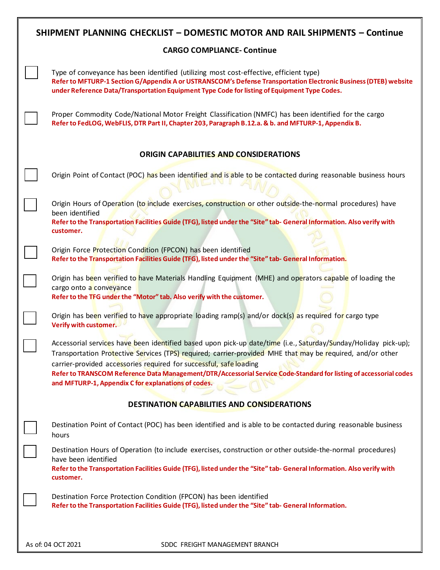|                                               | SHIPMENT PLANNING CHECKLIST - DOMESTIC MOTOR AND RAIL SHIPMENTS - Continue                                                                                                                                                                                                                                                                                                                                                                                                       |  |
|-----------------------------------------------|----------------------------------------------------------------------------------------------------------------------------------------------------------------------------------------------------------------------------------------------------------------------------------------------------------------------------------------------------------------------------------------------------------------------------------------------------------------------------------|--|
|                                               | <b>CARGO COMPLIANCE- Continue</b>                                                                                                                                                                                                                                                                                                                                                                                                                                                |  |
|                                               | Type of conveyance has been identified (utilizing most cost-effective, efficient type)<br>Refer to MFTURP-1 Section G/Appendix A or USTRANSCOM's Defense Transportation Electronic Business (DTEB) website<br>under Reference Data/Transportation Equipment Type Code for listing of Equipment Type Codes.                                                                                                                                                                       |  |
|                                               | Proper Commodity Code/National Motor Freight Classification (NMFC) has been identified for the cargo<br>Refer to FedLOG, WebFLIS, DTR Part II, Chapter 203, Paragraph B.12.a. & b. and MFTURP-1, Appendix B.                                                                                                                                                                                                                                                                     |  |
| <b>ORIGIN CAPABILITIES AND CONSIDERATIONS</b> |                                                                                                                                                                                                                                                                                                                                                                                                                                                                                  |  |
|                                               | Origin Point of Contact (POC) has been identified and is able to be contacted during reasonable business hours                                                                                                                                                                                                                                                                                                                                                                   |  |
|                                               | Origin Hours of Operation (to include exercises, construction or other outside-the-normal procedures) have<br>been identified<br>Refer to the Transportation Facilities Guide (TFG), listed under the "Site" tab- General Information. Also verify with<br>customer.                                                                                                                                                                                                             |  |
|                                               | Origin Force Protection Condition (FPCON) has been identified<br>Refer to the Transportation Facilities Guide (TFG), listed under the "Site" tab- General Information.                                                                                                                                                                                                                                                                                                           |  |
|                                               | Origin has been verified to have Materials Handling Equipment (MHE) and operators capable of loading the<br>cargo onto a conveyance<br>Refer to the TFG under the "Motor" tab. Also verify with the customer.                                                                                                                                                                                                                                                                    |  |
|                                               | Origin has been verified to have appropriate loading ramp(s) and/or dock(s) as required for cargo type<br>Verify with customer.                                                                                                                                                                                                                                                                                                                                                  |  |
|                                               | Accessorial services have been identified based upon pick-up date/time (i.e., Saturday/Sunday/Holiday pick-up);<br>Transportation Protective Services (TPS) required; carrier-provided MHE that may be required, and/or other<br>carrier-provided accessories required for successful, safe loading<br>Refer to TRANSCOM Reference Data Management/DTR/Accessorial Service Code-Standard for listing of accessorial codes<br>and MFTURP-1, Appendix C for explanations of codes. |  |
|                                               | <b>DESTINATION CAPABILITIES AND CONSIDERATIONS</b>                                                                                                                                                                                                                                                                                                                                                                                                                               |  |
|                                               | Destination Point of Contact (POC) has been identified and is able to be contacted during reasonable business<br>hours                                                                                                                                                                                                                                                                                                                                                           |  |
|                                               | Destination Hours of Operation (to include exercises, construction or other outside-the-normal procedures)<br>have been identified<br>Refer to the Transportation Facilities Guide (TFG), listed under the "Site" tab- General Information. Also verify with<br>customer.                                                                                                                                                                                                        |  |
|                                               | Destination Force Protection Condition (FPCON) has been identified<br>Refer to the Transportation Facilities Guide (TFG), listed under the "Site" tab- General Information.                                                                                                                                                                                                                                                                                                      |  |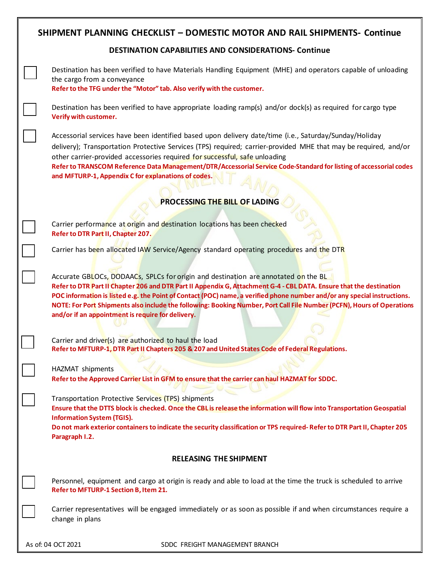|                                                              | <b>SHIPMENT PLANNING CHECKLIST - DOMESTIC MOTOR AND RAIL SHIPMENTS- Continue</b>                                                                                                                                                                                                                                                                                                                                                                                                                                     |  |
|--------------------------------------------------------------|----------------------------------------------------------------------------------------------------------------------------------------------------------------------------------------------------------------------------------------------------------------------------------------------------------------------------------------------------------------------------------------------------------------------------------------------------------------------------------------------------------------------|--|
| <b>DESTINATION CAPABILITIES AND CONSIDERATIONS- Continue</b> |                                                                                                                                                                                                                                                                                                                                                                                                                                                                                                                      |  |
|                                                              | Destination has been verified to have Materials Handling Equipment (MHE) and operators capable of unloading<br>the cargo from a conveyance<br>Refer to the TFG under the "Motor" tab. Also verify with the customer.                                                                                                                                                                                                                                                                                                 |  |
|                                                              | Destination has been verified to have appropriate loading ramp(s) and/or dock(s) as required for cargo type<br>Verify with customer.                                                                                                                                                                                                                                                                                                                                                                                 |  |
|                                                              | Accessorial services have been identified based upon delivery date/time (i.e., Saturday/Sunday/Holiday<br>delivery); Transportation Protective Services (TPS) required; carrier-provided MHE that may be required, and/or<br>other carrier-provided accessories required for successful, safe unloading<br>Refer to TRANSCOM Reference Data Management/DTR/Accessorial Service Code-Standard for listing of accessorial codes<br>and MFTURP-1, Appendix C for explanations of codes.                                 |  |
|                                                              | PROCESSING THE BILL OF LADING                                                                                                                                                                                                                                                                                                                                                                                                                                                                                        |  |
|                                                              |                                                                                                                                                                                                                                                                                                                                                                                                                                                                                                                      |  |
|                                                              | Carrier performance at origin and destination locations has been checked<br>Refer to DTR Part II, Chapter 207.                                                                                                                                                                                                                                                                                                                                                                                                       |  |
|                                                              | Carrier has been allocated IAW Service/Agency standard operating procedures and the DTR                                                                                                                                                                                                                                                                                                                                                                                                                              |  |
|                                                              | Accurate GBLOCs, DODAACs, SPLCs for origin and destination are annotated on the BL<br>Refer to DTR Part II Chapter 206 and DTR Part II Appendix G, Attachment G-4 - CBL DATA. Ensure that the destination<br>POC information is listed e.g. the Point of Contact (POC) name, a verified phone number and/or any special instructions.<br>NOTE: For Port Shipments also include the following: Booking Number, Port Call File Number (PCFN), Hours of Operations<br>and/or if an appointment is require for delivery. |  |
|                                                              | Carrier and driver(s) are authorized to haul the load<br>Refer to MFTURP-1, DTR Part II Chapters 205 & 207 and United States Code of Federal Regulations.                                                                                                                                                                                                                                                                                                                                                            |  |
|                                                              | HAZMAT shipments<br>Refer to the Approved Carrier List in GFM to ensure that the carrier can haul HAZMAT for SDDC.                                                                                                                                                                                                                                                                                                                                                                                                   |  |
|                                                              | Transportation Protective Services (TPS) shipments<br>Ensure that the DTTS block is checked. Once the CBL is release the information will flow into Transportation Geospatial<br><b>Information System (TGIS).</b><br>Do not mark exterior containers to indicate the security classification or TPS required-Refer to DTR Part II, Chapter 205<br>Paragraph I.2.                                                                                                                                                    |  |
|                                                              | <b>RELEASING THE SHIPMENT</b>                                                                                                                                                                                                                                                                                                                                                                                                                                                                                        |  |
|                                                              | Personnel, equipment and cargo at origin is ready and able to load at the time the truck is scheduled to arrive<br>Refer to MFTURP-1 Section B, Item 21.                                                                                                                                                                                                                                                                                                                                                             |  |
|                                                              | Carrier representatives will be engaged immediately or as soon as possible if and when circumstances require a<br>change in plans                                                                                                                                                                                                                                                                                                                                                                                    |  |
|                                                              |                                                                                                                                                                                                                                                                                                                                                                                                                                                                                                                      |  |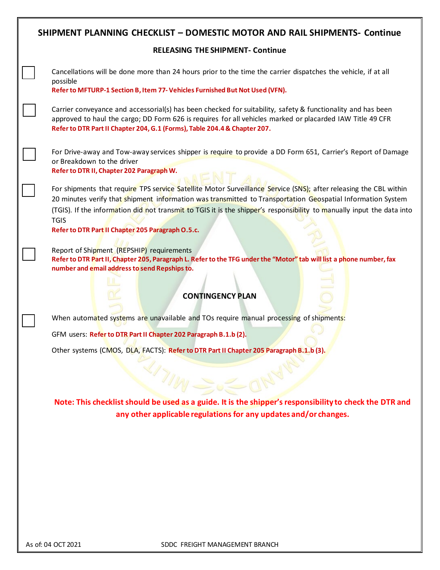| <b>SHIPMENT PLANNING CHECKLIST - DOMESTIC MOTOR AND RAIL SHIPMENTS- Continue</b>                                                                                                                                                                                                                                                                                                                                               |  |  |
|--------------------------------------------------------------------------------------------------------------------------------------------------------------------------------------------------------------------------------------------------------------------------------------------------------------------------------------------------------------------------------------------------------------------------------|--|--|
| <b>RELEASING THE SHIPMENT- Continue</b>                                                                                                                                                                                                                                                                                                                                                                                        |  |  |
| Cancellations will be done more than 24 hours prior to the time the carrier dispatches the vehicle, if at all                                                                                                                                                                                                                                                                                                                  |  |  |
| possible<br>Refer to MFTURP-1 Section B, Item 77- Vehicles Furnished But Not Used (VFN).                                                                                                                                                                                                                                                                                                                                       |  |  |
| Carrier conveyance and accessorial(s) has been checked for suitability, safety & functionality and has been<br>approved to haul the cargo; DD Form 626 is requires for all vehicles marked or placarded IAW Title 49 CFR<br>Refer to DTR Part II Chapter 204, G.1 (Forms), Table 204.4 & Chapter 207.                                                                                                                          |  |  |
| For Drive-away and Tow-away services shipper is require to provide a DD Form 651, Carrier's Report of Damage<br>or Breakdown to the driver<br>Refer to DTR II, Chapter 202 Paragraph W.                                                                                                                                                                                                                                        |  |  |
| For shipments that require TPS service Satellite Motor Surveillance Service (SNS); after releasing the CBL within<br>20 minutes verify that shipment information was transmitted to Transportation Geospatial Information System<br>(TGIS). If the information did not transmit to TGIS it is the shipper's responsibility to manually input the data into<br><b>TGIS</b><br>Refer to DTR Part II Chapter 205 Paragraph O.5.c. |  |  |
| Report of Shipment (REPSHIP) requirements<br>Refer to DTR Part II, Chapter 205, Paragraph L. Refer to the TFG under the "Motor" tab will list a phone number, fax<br>number and email address to send Repships to.<br><b>CONTINGENCY PLAN</b>                                                                                                                                                                                  |  |  |
| When automated systems are unavailable and TOs require manual processing of shipments:                                                                                                                                                                                                                                                                                                                                         |  |  |
| GFM users: Refer to DTR Part II Chapter 202 Paragraph B.1.b (2).                                                                                                                                                                                                                                                                                                                                                               |  |  |
| Other systems (CMOS, DLA, FACTS): Refer to DTR Part II Chapter 205 Paragraph B.1.b (3).                                                                                                                                                                                                                                                                                                                                        |  |  |
| Note: This checklist should be used as a guide. It is the shipper's responsibility to check the DTR and<br>any other applicable regulations for any updates and/or changes.                                                                                                                                                                                                                                                    |  |  |
|                                                                                                                                                                                                                                                                                                                                                                                                                                |  |  |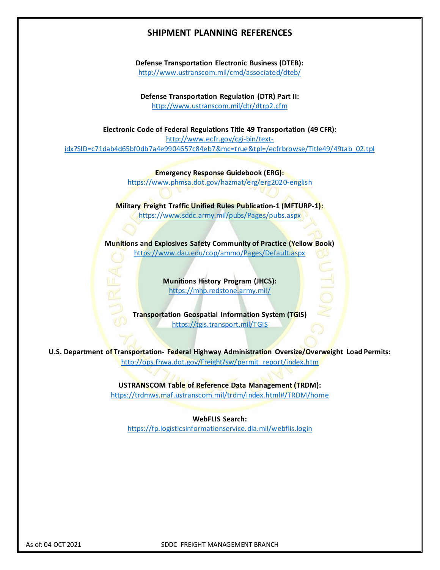## **SHIPMENT PLANNING REFERENCES**

**Defense Transportation Electronic Business (DTEB):** <http://www.ustranscom.mil/cmd/associated/dteb/>

**Defense Transportation Regulation (DTR) Part II:**  <http://www.ustranscom.mil/dtr/dtrp2.cfm>

**Electronic Code of Federal Regulations Title 49 Transportation (49 CFR):** [http://www.ecfr.gov/cgi-bin/text](http://www.ecfr.gov/cgi-bin/text-idx?SID=c71dab4d65bf0db7a4e9904657c84eb7&mc=true&tpl=/ecfrbrowse/Title49/49tab_02.tpl)[idx?SID=c71dab4d65bf0db7a4e9904657c84eb7&mc=true&tpl=/ecfrbrowse/Title49/49tab\\_02.tpl](http://www.ecfr.gov/cgi-bin/text-idx?SID=c71dab4d65bf0db7a4e9904657c84eb7&mc=true&tpl=/ecfrbrowse/Title49/49tab_02.tpl) 

> **Emergency Response Guidebook (ERG):** <https://www.phmsa.dot.gov/hazmat/erg/erg2020-english>

**Military Freight Traffic Unified Rules Publication-1 (MFTURP-1):** <https://www.sddc.army.mil/pubs/Pages/pubs.aspx>

**Munitions and Explosives Safety Community of Practice (Yellow Book)** <https://www.dau.edu/cop/ammo/Pages/Default.aspx>

> **Munitions History Program (JHCS):** <https://mhp.redstone.army.mil/>

 $\frac{1}{2}$ 

**Transportation Geospatial Information System (TGIS)** <https://tgis.transport.mil/TGIS>

**U.S. Department of Transportation- Federal Highway Administration Oversize/Overweight Load Permits:**  http://ops.fhwa.dot.gov/Freight/sw/permit\_report/index.htm

**USTRANSCOM Table of Reference Data Management (TRDM):**

<https://trdmws.maf.ustranscom.mil/trdm/index.html#/TRDM/home>

**WebFLIS Search:** <https://fp.logisticsinformationservice.dla.mil/webflis.login>